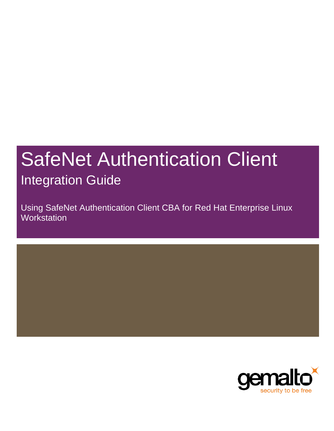# SafeNet Authentication Client Integration Guide

Using SafeNet Authentication Client CBA for Red Hat Enterprise Linux **Workstation** 

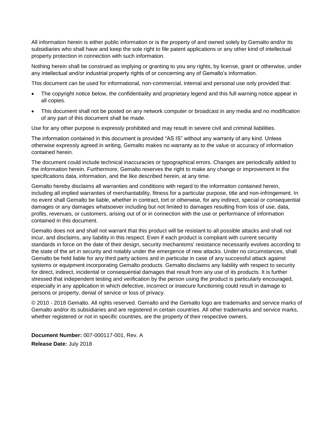All information herein is either public information or is the property of and owned solely by Gemalto and/or its subsidiaries who shall have and keep the sole right to file patent applications or any other kind of intellectual property protection in connection with such information.

Nothing herein shall be construed as implying or granting to you any rights, by license, grant or otherwise, under any intellectual and/or industrial property rights of or concerning any of Gemalto's information.

This document can be used for informational, non-commercial, internal and personal use only provided that:

- The copyright notice below, the confidentiality and proprietary legend and this full warning notice appear in all copies.
- This document shall not be posted on any network computer or broadcast in any media and no modification of any part of this document shall be made.

Use for any other purpose is expressly prohibited and may result in severe civil and criminal liabilities.

The information contained in this document is provided "AS IS" without any warranty of any kind. Unless otherwise expressly agreed in writing, Gemalto makes no warranty as to the value or accuracy of information contained herein.

The document could include technical inaccuracies or typographical errors. Changes are periodically added to the information herein. Furthermore, Gemalto reserves the right to make any change or improvement in the specifications data, information, and the like described herein, at any time.

Gemalto hereby disclaims all warranties and conditions with regard to the information contained herein, including all implied warranties of merchantability, fitness for a particular purpose, title and non-infringement. In no event shall Gemalto be liable, whether in contract, tort or otherwise, for any indirect, special or consequential damages or any damages whatsoever including but not limited to damages resulting from loss of use, data, profits, revenues, or customers, arising out of or in connection with the use or performance of information contained in this document.

Gemalto does not and shall not warrant that this product will be resistant to all possible attacks and shall not incur, and disclaims, any liability in this respect. Even if each product is compliant with current security standards in force on the date of their design, security mechanisms' resistance necessarily evolves according to the state of the art in security and notably under the emergence of new attacks. Under no circumstances, shall Gemalto be held liable for any third party actions and in particular in case of any successful attack against systems or equipment incorporating Gemalto products. Gemalto disclaims any liability with respect to security for direct, indirect, incidental or consequential damages that result from any use of its products. It is further stressed that independent testing and verification by the person using the product is particularly encouraged, especially in any application in which defective, incorrect or insecure functioning could result in damage to persons or property, denial of service or loss of privacy.

© 2010 - 2018 Gemalto. All rights reserved. Gemalto and the Gemalto logo are trademarks and service marks of Gemalto and/or its subsidiaries and are registered in certain countries. All other trademarks and service marks, whether registered or not in specific countries, are the property of their respective owners.

**Document Number:** 007-000117-001, Rev. A **Release Date:** July 2018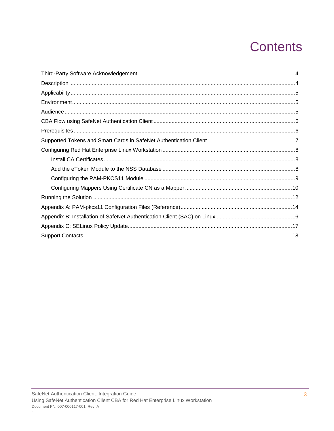# **Contents**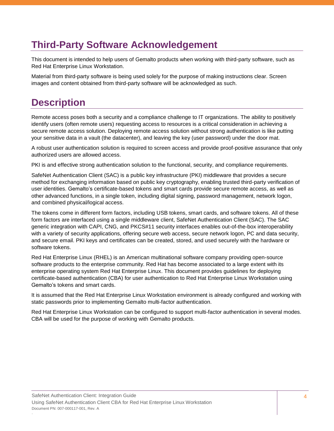## <span id="page-3-0"></span>**Third-Party Software Acknowledgement**

This document is intended to help users of Gemalto products when working with third-party software, such as Red Hat Enterprise Linux Workstation.

Material from third-party software is being used solely for the purpose of making instructions clear. Screen images and content obtained from third-party software will be acknowledged as such.

### <span id="page-3-1"></span>**Description**

Remote access poses both a security and a compliance challenge to IT organizations. The ability to positively identify users (often remote users) requesting access to resources is a critical consideration in achieving a secure remote access solution. Deploying remote access solution without strong authentication is like putting your sensitive data in a vault (the datacenter), and leaving the key (user password) under the door mat.

A robust user authentication solution is required to screen access and provide proof-positive assurance that only authorized users are allowed access.

PKI is and effective strong authentication solution to the functional, security, and compliance requirements.

SafeNet Authentication Client (SAC) is a public key infrastructure (PKI) middleware that provides a secure method for exchanging information based on public key cryptography, enabling trusted third-party verification of user identities. Gemalto's certificate-based tokens and smart cards provide secure remote access, as well as other advanced functions, in a single token, including digital signing, password management, network logon, and combined physical/logical access.

The tokens come in different form factors, including USB tokens, smart cards, and software tokens. All of these form factors are interfaced using a single middleware client, SafeNet Authentication Client (SAC). The SAC generic integration with CAPI, CNG, and PKCS#11 security interfaces enables out-of-the-box interoperability with a variety of security applications, offering secure web access, secure network logon, PC and data security, and secure email. PKI keys and certificates can be created, stored, and used securely with the hardware or software tokens.

Red Hat Enterprise Linux (RHEL) is an American multinational software company providing open-source software products to the enterprise community. Red Hat has become associated to a large extent with its enterprise operating system Red Hat Enterprise Linux. This document provides guidelines for deploying certificate-based authentication (CBA) for user authentication to Red Hat Enterprise Linux Workstation using Gemalto's tokens and smart cards.

It is assumed that the Red Hat Enterprise Linux Workstation environment is already configured and working with static passwords prior to implementing Gemalto multi-factor authentication.

Red Hat Enterprise Linux Workstation can be configured to support multi-factor authentication in several modes. CBA will be used for the purpose of working with Gemalto products.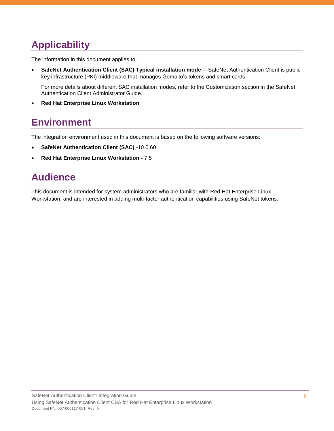# <span id="page-4-0"></span>**Applicability**

The information in this document applies to:

 **SafeNet Authentication Client (SAC) Typical installation mode**— SafeNet Authentication Client is public key infrastructure (PKI) middleware that manages Gemalto's tokens and smart cards.

For more details about different SAC installation modes, refer to the Customization section in the SafeNet Authentication Client Administrator Guide.

**Red Hat Enterprise Linux Workstation**

### <span id="page-4-1"></span>**Environment**

The integration environment used in this document is based on the following software versions:

- **SafeNet Authentication Client (SAC)** -10.0.60
- **Red Hat Enterprise Linux Workstation -** 7.5

### <span id="page-4-2"></span>**Audience**

This document is intended for system administrators who are familiar with Red Hat Enterprise Linux Workstation, and are interested in adding multi-factor authentication capabilities using SafeNet tokens.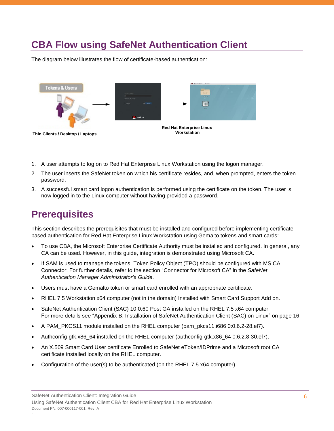# <span id="page-5-0"></span>**CBA Flow using SafeNet Authentication Client**

The diagram below illustrates the flow of certificate-based authentication:



- 1. A user attempts to log on to Red Hat Enterprise Linux Workstation using the logon manager.
- 2. The user inserts the SafeNet token on which his certificate resides, and, when prompted, enters the token password.
- 3. A successful smart card logon authentication is performed using the certificate on the token. The user is now logged in to the Linux computer without having provided a password.

### <span id="page-5-1"></span>**Prerequisites**

This section describes the prerequisites that must be installed and configured before implementing certificatebased authentication for Red Hat Enterprise Linux Workstation using Gemalto tokens and smart cards:

- To use CBA, the Microsoft Enterprise Certificate Authority must be installed and configured. In general, any CA can be used. However, in this guide, integration is demonstrated using Microsoft CA.
- If SAM is used to manage the tokens, Token Policy Object (TPO) should be configured with MS CA Connector. For further details, refer to the section "Connector for Microsoft CA" in the *SafeNet Authentication Manager Administrator's Guide*.
- Users must have a Gemalto token or smart card enrolled with an appropriate certificate.
- RHEL 7.5 Workstation x64 computer (not in the domain) Installed with Smart Card Support Add on.
- SafeNet Authentication Client (SAC) 10.0.60 Post GA installed on the RHEL 7.5 x64 computer. For more details see ["Appendix B: Installation of SafeNet Authentication Client \(SAC\) on Linux"](#page-15-0) on page [16.](#page-15-0)
- A PAM\_PKCS11 module installed on the RHEL computer (pam\_pkcs11.i686 0:0.6.2-28.el7).
- Authconfig-gtk.x86\_64 installed on the RHEL computer (authconfig-gtk.x86\_64 0:6.2.8-30.el7).
- An X.509 Smart Card User certificate Enrolled to SafeNet eToken/IDPrime and a Microsoft root CA certificate installed locally on the RHEL computer.
- Configuration of the user(s) to be authenticated (on the RHEL 7.5 x64 computer)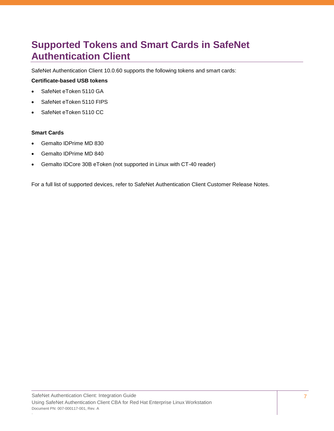## <span id="page-6-0"></span>**Supported Tokens and Smart Cards in SafeNet Authentication Client**

SafeNet Authentication Client 10.0.60 supports the following tokens and smart cards:

#### **Certificate-based USB tokens**

- SafeNet eToken 5110 GA
- SafeNet eToken 5110 FIPS
- SafeNet eToken 5110 CC

#### **Smart Cards**

- Gemalto IDPrime MD 830
- Gemalto IDPrime MD 840
- Gemalto IDCore 30B eToken (not supported in Linux with CT-40 reader)

For a full list of supported devices, refer to SafeNet Authentication Client Customer Release Notes.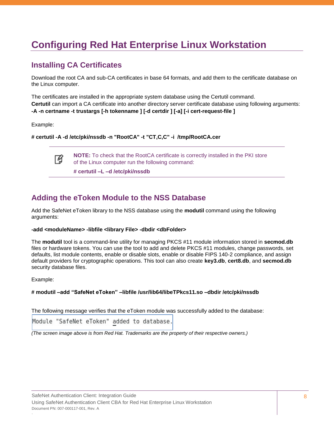# <span id="page-7-0"></span>**Configuring Red Hat Enterprise Linux Workstation**

### <span id="page-7-1"></span>**Installing CA Certificates**

Download the root CA and sub-CA certificates in base 64 formats, and add them to the certificate database on the Linux computer.

The certificates are installed in the appropriate system database using the Certutil command. **Certutil** can import a CA certificate into another directory server certificate database using following arguments: **-A -n certname -t trustargs [-h tokenname ] [-d certdir ] [-a] [-i cert-request-file ]** 

Example:

放

**# certutil -A -d /etc/pki/nssdb -n "RootCA" -t "CT,C,C" -i /tmp/RootCA.cer**

**NOTE:** To check that the RootCA certificate is correctly installed in the PKI store of the Linux computer run the following command:

**# certutil –L –d /etc/pki/nssdb**

### <span id="page-7-2"></span>**Adding the eToken Module to the NSS Database**

Add the SafeNet eToken library to the NSS database using the **modutil** command using the following arguments:

#### -add <moduleName> -libfile <library File> -dbdir <dbFolder>

The **modutil** tool is a command-line utility for managing PKCS #11 module information stored in **secmod.db**  files or hardware tokens. You can use the tool to add and delete PKCS #11 modules, change passwords, set defaults, list module contents, enable or disable slots, enable or disable FIPS 140-2 compliance, and assign default providers for cryptographic operations. This tool can also create **key3.db**, **cert8.db**, and **secmod.db**  security database files.

Example:

#### **# modutil –add "SafeNet eToken" –libfile /usr/lib64/libeTPkcs11.so –dbdir /etc/pki/nssdb**

The following message verifies that the eToken module was successfully added to the database:

Module "SafeNet eToken" added to database.

*(The screen image above is from Red Hat. Trademarks are the property of their respective owners.)*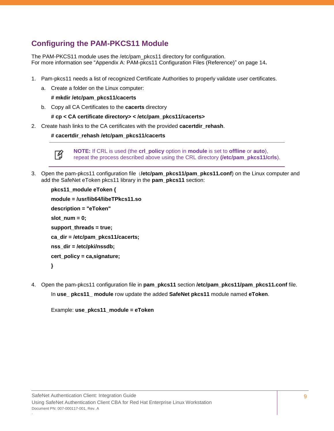### <span id="page-8-0"></span>**Configuring the PAM-PKCS11 Module**

The PAM-PKCS11 module uses the /etc/pam\_pkcs11 directory for configuration. For more information see ["Appendix A: PAM-pkcs11 Configuration Files \(Reference\)"](#page-13-0) on page [14](#page-13-0)**.**

- 1. Pam-pkcs11 needs a list of recognized Certificate Authorities to properly validate user certificates.
	- a. Create a folder on the Linux computer:

#### **# mkdir /etc/pam\_pkcs11/cacerts**

- b. Copy all CA Certificates to the **cacerts** directory
	- **# cp < CA certificate directory> < /etc/pam\_pkcs11/cacerts>**
- 2. Create hash links to the CA certificates with the provided **cacertdir\_rehash**.

#### **# cacertdir\_rehash /etc/pam\_pkcs11/cacerts**



**NOTE:** If CRL is used (the **crl\_policy** option in **module** is set to **offline** or **auto**), repeat the process described above using the CRL directory **(/etc/pam\_pkcs11/crls**).

3. Open the pam-pkcs11 configuration file (**/etc/pam\_pkcs11/pam\_pkcs11.conf**) on the Linux computer and add the SafeNet eToken pkcs11 library in the **pam\_pkcs11** section:

```
pkcs11_module eToken { 
module = /usr/lib64/libeTPkcs11.so 
description = "eToken" 
slot_num = 0; 
support_threads = true;
ca_dir = /etc/pam_pkcs11/cacerts; 
nss_dir = /etc/pki/nssdb; 
cert_policy = ca,signature; 
}
```
4. Open the pam-pkcs11 configuration file in **pam\_pkcs11** section **/etc/pam\_pkcs11/pam\_pkcs11.conf** file.

In **use\_ pkcs11\_ module** row update the added **SafeNet pkcs11** module named **eToken**.

Example: **use\_pkcs11\_module = eToken**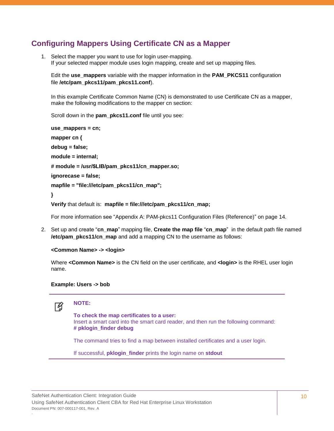### <span id="page-9-0"></span>**Configuring Mappers Using Certificate CN as a Mapper**

1. Select the mapper you want to use for login user-mapping. If your selected mapper module uses login mapping, create and set up mapping files.

Edit the **use\_mappers** variable with the mapper information in the **PAM\_PKCS11** configuration file **/etc/pam\_pkcs11/pam\_pkcs11.conf**).

In this example Certificate Common Name (CN) is demonstrated to use Certificate CN as a mapper, make the following modifications to the mapper cn section:

Scroll down in the **pam\_pkcs11.conf** file until you see:

```
use_mappers = cn; 
mapper cn { 
debug = false; 
module = internal; 
# module = /usr/$LIB/pam_pkcs11/cn_mapper.so; 
ignorecase = false; 
mapfile = "file:///etc/pam_pkcs11/cn_map"; 
}
```
**Verify** that default is: **mapfile = [file:///etc/pam\\_pkcs11/cn\\_map;](file:///C:/etc/pam_pkcs11/cn_map)**

For more information see ["Appendix A: PAM-pkcs11 Configuration Files \(Reference\)"](#page-13-0) on page [14.](#page-13-0)

2. Set up and create "**cn\_map**" mapping file, **Create the map file** "**cn\_map**" in the default path file named **/etc/pam\_pkcs11/cn\_map** and add a mapping CN to the username as follows:

```
<Common Name> -> <login>
```
Where **<Common Name>** is the CN field on the user certificate, and **<login>** is the RHEL user login name.

#### **Example: Users -> bob**



**NOTE:** 

**To check the map certificates to a user:**  Insert a smart card into the smart card reader, and then run the following command: **# pklogin\_finder debug** 

The command tries to find a map between installed certificates and a user login.

If successful, **pklogin\_finder** prints the login name on **stdout**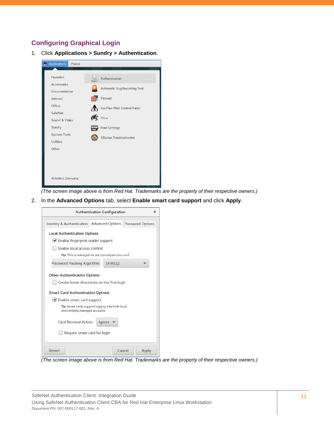### **Configuring Graphical Login**

1. Click **Applications > Sundry > Authentication**.



*(The screen image above is from Red Hat. Trademarks are the property of their respective owners.)*

2. In the **Advanced Options** tab, select **Enable smart card support** and click **Apply**.



*(The screen image above is from Red Hat. Trademarks are the property of their respective owners.)*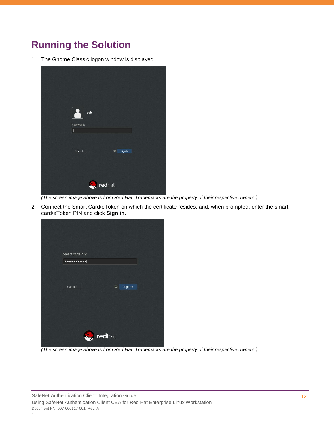# <span id="page-11-0"></span>**Running the Solution**

1. The Gnome Classic logon window is displayed

|                | bob          |  |  |  |  |
|----------------|--------------|--|--|--|--|
| Password:<br>Ū |              |  |  |  |  |
| Cancel         | ₩<br>Sign In |  |  |  |  |
| redhat.<br>Ŋ   |              |  |  |  |  |

*(The screen image above is from Red Hat. Trademarks are the property of their respective owners.)*

2. Connect the Smart Card/eToken on which the certificate resides, and, when prompted, enter the smart card/eToken PIN and click **Sign in.**

|                  | Smart card PIN:<br> |  |              |  |  |
|------------------|---------------------|--|--------------|--|--|
|                  |                     |  |              |  |  |
|                  | Cancel              |  | Sign In<br>☆ |  |  |
|                  |                     |  |              |  |  |
|                  |                     |  |              |  |  |
| <b>S</b> redhat. |                     |  |              |  |  |

*(The screen image above is from Red Hat. Trademarks are the property of their respective owners.)*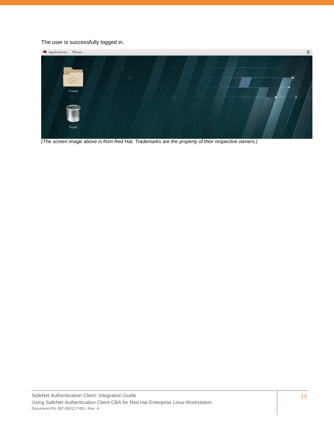#### The user is successfully logged in.



*(The screen image above is from Red Hat. Trademarks are the property of their respective owners.)*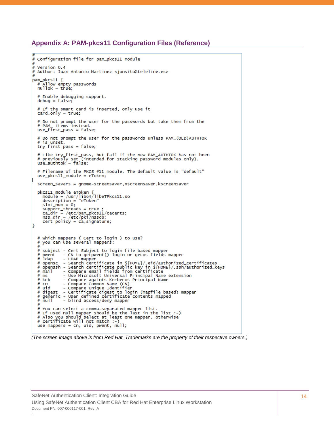#### <span id="page-13-0"></span>**Appendix A: PAM-pkcs11 Configuration Files (Reference)**

```
##
  Configuration file for pam_pkcs11 module
\frac{1}{2}Version 0.4
##
   Author: Juan Antonio Martinez <jonsito@teleline.es>
pam_pkcs11 {
   # Allow empty passwords<br>nullok = true;
     Enable debugging support.
   debug = false# If the smart card is inserted, only use it
   card\_only = true;# Do not prompt the user for the passwords but take them from the<br># PAM<sub>-</sub> items instead.
   w PAM_ Temis Tistead.<br>use_first_pass = false;
   # Do not prompt the user for the passwords unless PAM_(OLD)AUTHTOK
   # is unset.
   try_first_pass = false;
   # Like try_first_pass, but fail if the new PAM_AUTHTOK has not been<br># previously set (intended for stacking password modules only).<br>use_authtok = false;
   # Filename of the PKCS #11 module. The default value is "default"
   use_pkcs11_module = eToken;
   screen_savers = gnome-screensaver, xscreensaver, kscreensaver
   pkcs11_module eToken {<br>module = /usr/lib64/libeTPkcs11.so<br>description_= "eToken"
      slot_num = 0;<br>slot_num = 0;<br>support_threads = true ;<br>ca_dir = /etc/pam_pkcs11/cacerts;<br>nss_dir = /etc/pki/nssdb;
      cert_policy = ca,signature;
   # which mappers ( Cert to login ) to use?<br># you can use several mappers:
   \frac{u}{t} subject - Cert Subject to login file based mapper<br># pwent   - CN to getpwent() login or gecos fields mapper
   # pwent<br># dap
                   - LDAP mapper
   # Oapnsc - LDAP mapper<br>
# opensc - Search certificate in ${HOME}/.eid/authorized_certificates<br>
# openssh - Search certificate public key in ${HOME}/.ssh/authorized_keys<br>
# mail - Compare email fields from certificate<br>
# ms
   # krb
                   - Compare againts Kerberos Principal Name
   # KrD - Compare against Kerberos Principal Name<br>
# cn - Compare Common Name (CN)<br>
# uid - Compare Unique Identifier<br>
# digest - Certificate digest to login (mapfile based) mapper<br>
# generic - User defined certificate conte
   # You can select a comma-separated mapper list.
   # If used null mapper should be the last in the list :-)
   # Also you should select at least one mapper, otherwise<br># Also you should select at least one mapper, otherwise
   use_mappers = cn, uid, pwent, null;
```
#### *(The screen image above is from Red Hat. Trademarks are the property of their respective owners.)*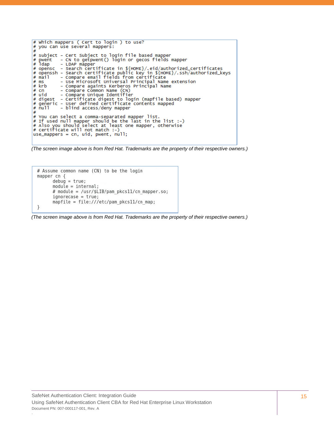```
Which mappers ( Cert to login ) to use?
#
#
   you can use several mappers:
#
   subject - Cert Subject to login file based mapper<br>pwent   - CN to getpwent() login or gecos fields mapper
#
#<br>#
   pwent<br>Idap
                   - LDAP mapper
   opensc - Search certificate in ${HOME}/.eid/authorized_certificates<br>openssh - Search certificate public key in ${HOME}/.ssh/authorized_keys<br>mail   - Compare email fields from certificate
#
#
# mail
# ms
                   - Use Microsoft Universal Principal Name extension
# krb
                   - Compare againts Kerberos Principal Name
                   - Compare Common Name (CN)<br>- Compare Unique Identifier
#
   cn
   uid
#
   digest - Certificate digest to login (mapfile based) mapper<br>generic - User defined certificate contents mapped<br>null - blind access/deny mapper
#
#
#
# You can select a comma-separated mapper list.<br># If used null mapper should be the last in the list :-)<br># Also you should select at least one mapper, otherwise<br># certificate will not match :-)<br># certificate will nught :-)
use_mappers = cn, uid, pwent, null;
```
*(The screen image above is from Red Hat. Trademarks are the property of their respective owners.)*

```
# Assume common name (CN) to be the login
mapper cn \{debug = true;module = internal;# module = /usr/$LIB/pam_pkcs11/cn_mapper.so;
      ignorecase = true;mapfile = file://letc/panpkcs11/cn_map;\mathcal{E}
```
*(The screen image above is from Red Hat. Trademarks are the property of their respective owners.)*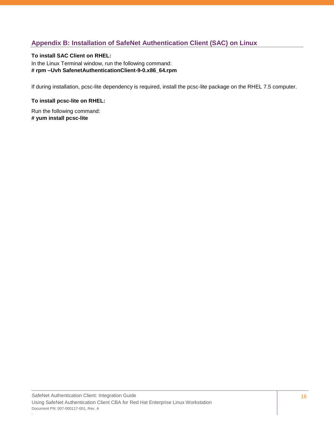### <span id="page-15-0"></span>**Appendix B: Installation of SafeNet Authentication Client (SAC) on Linux**

#### **To install SAC Client on RHEL:**

In the Linux Terminal window, run the following command: **# rpm –Uvh SafenetAuthenticationClient-9-0.x86\_64.rpm** 

If during installation, pcsc-lite dependency is required, install the pcsc-lite package on the RHEL 7.5 computer.

#### **To install pcsc-lite on RHEL:**

Run the following command: **# yum install pcsc-lite**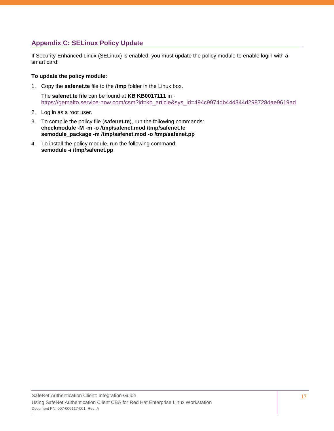### <span id="page-16-0"></span>**Appendix C: SELinux Policy Update**

If Security-Enhanced Linux (SELinux) is enabled, you must update the policy module to enable login with a smart card:

#### **To update the policy module:**

1. Copy the **safenet.te** file to the **/tmp** folder in the Linux box.

The **safenet.te file** can be found at **KB KB0017111** in [https://gemalto.service-now.com/csm?id=kb\\_article&sys\\_id=494c9974db44d344d298728dae9619ad](https://gemalto.service-now.com/csm?id=kb_article&sys_id=494c9974db44d344d298728dae9619ad)

- 2. Log in as a root user.
- 3. To compile the policy file (**safenet.te**), run the following commands: **checkmodule -M -m -o /tmp/safenet.mod /tmp/safenet.te semodule\_package -m /tmp/safenet.mod -o /tmp/safenet.pp**
- 4. To install the policy module, run the following command: **semodule -i /tmp/safenet.pp**